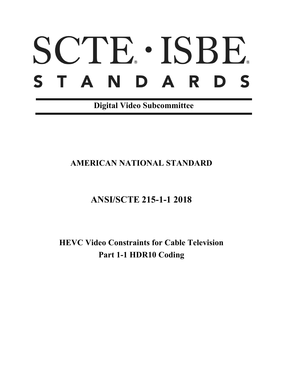# SCTE · ISBE. S T A N D A R D S

**Digital Video Subcommittee**

# **AMERICAN NATIONAL STANDARD**

# **ANSI/SCTE 215-1-1 2018**

**HEVC Video Constraints for Cable Television Part 1-1 HDR10 Coding**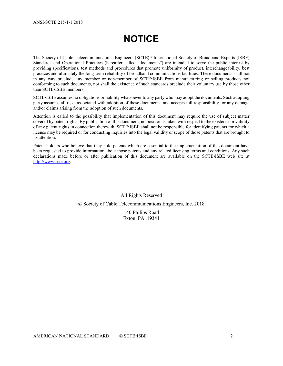# **NOTICE**

The Society of Cable Telecommunications Engineers (SCTE) / International Society of Broadband Experts (ISBE) Standards and Operational Practices (hereafter called "documents") are intended to serve the public interest by providing specifications, test methods and procedures that promote uniformity of product, interchangeability, best practices and ultimately the long-term reliability of broadband communications facilities. These documents shall not in any way preclude any member or non-member of SCTE•ISBE from manufacturing or selling products not conforming to such documents, nor shall the existence of such standards preclude their voluntary use by those other than SCTE•ISBE members.

SCTE•ISBE assumes no obligations or liability whatsoever to any party who may adopt the documents. Such adopting party assumes all risks associated with adoption of these documents, and accepts full responsibility for any damage and/or claims arising from the adoption of such documents.

Attention is called to the possibility that implementation of this document may require the use of subject matter covered by patent rights. By publication of this document, no position is taken with respect to the existence or validity of any patent rights in connection therewith. SCTE•ISBE shall not be responsible for identifying patents for which a license may be required or for conducting inquiries into the legal validity or scope of those patents that are brought to its attention.

Patent holders who believe that they hold patents which are essential to the implementation of this document have been requested to provide information about those patents and any related licensing terms and conditions. Any such declarations made before or after publication of this document are available on the SCTE•ISBE web site at [http://www.scte.org.](http://www.scte.org/)

All Rights Reserved

© Society of Cable Telecommunications Engineers, Inc. 2018

140 Philips Road Exton, PA 19341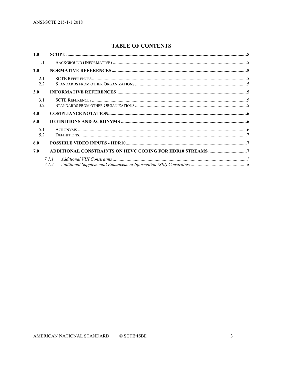### **TABLE OF CONTENTS**

| 1.0        |         |  |
|------------|---------|--|
| 1.1        |         |  |
| 2.0        |         |  |
| 2.1<br>2.2 |         |  |
| 3.0        |         |  |
| 3.1<br>3.2 |         |  |
| 4.0        |         |  |
| 5.0        |         |  |
| 5.1<br>5.2 |         |  |
| 6.0        |         |  |
| 7.0        |         |  |
|            | 7. I. I |  |
|            | 7.1.2   |  |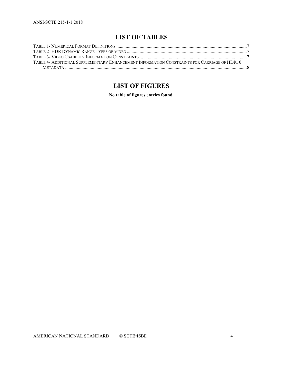## **LIST OF TABLES**

| TABLE 4- ADDITIONAL SUPPLEMENTARY ENHANCEMENT INFORMATION CONSTRAINTS FOR CARRIAGE OF HDR10 |  |
|---------------------------------------------------------------------------------------------|--|
|                                                                                             |  |

## **LIST OF FIGURES**

**No table of figures entries found.**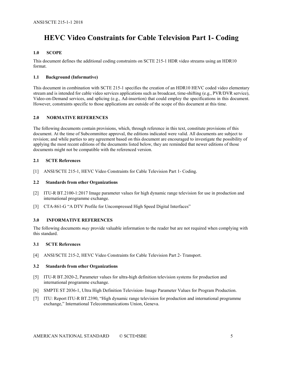## **HEVC Video Constraints for Cable Television Part 1- Coding**

#### <span id="page-4-0"></span>**1.0 SCOPE**

This document defines the additional coding constraints on SCTE 215-1 HDR video streams using an HDR10 format.

#### <span id="page-4-1"></span>**1.1 Background (Informative)**

This document in combination with SCTE 215-1 specifies the creation of an HDR10 HEVC coded video elementary stream and is intended for cable video services applications such as broadcast, time-shifting (e.g., PVR/DVR service), Video-on-Demand services, and splicing (e.g., Ad-insertion) that could employ the specifications in this document. However, constraints specific to those applications are outside of the scope of this document at this time.

#### <span id="page-4-2"></span>**2.0 NORMATIVE REFERENCES**

<span id="page-4-3"></span>The following documents contain provisions, which, through reference in this text, constitute provisions of this document. At the time of Subcommittee approval, the editions indicated were valid. All documents are subject to revision; and while parties to any agreement based on this document are encouraged to investigate the possibility of applying the most recent editions of the documents listed below, they are reminded that newer editions of those documents might not be compatible with the referenced version.

#### **2.1 SCTE References**

<span id="page-4-8"></span>[1] ANSI/SCTE 215-1, HEVC Video Constraints for Cable Television Part 1- Coding.

#### <span id="page-4-4"></span>**2.2 Standards from other Organizations**

- [2] ITU-R BT.2100-1:2017 Image parameter values for high dynamic range television for use in production and international programme exchange.
- [3] CTA-861-G "A DTV Profile for Uncompressed High Speed Digital Interfaces"

#### <span id="page-4-5"></span>**3.0 INFORMATIVE REFERENCES**

The following documents *may* provide valuable information to the reader but are not required when complying with this standard.

#### <span id="page-4-6"></span>**3.1 SCTE References**

[4] ANSI/SCTE 215-2, HEVC Video Constraints for Cable Television Part 2- Transport.

#### <span id="page-4-7"></span>**3.2 Standards from other Organizations**

- [5] ITU-R BT.2020-2, Parameter values for ultra-high definition television systems for production and international programme exchange.
- [6] SMPTE ST 2036-1, Ultra High Definition Television- Image Parameter Values for Program Production.
- [7] ITU: Report ITU-R BT.2390, "High dynamic range television for production and international programme exchange," International Telecommunications Union, Geneva.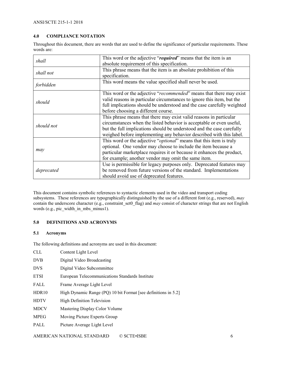ANSI/SCTE 215-1-1 2018

#### <span id="page-5-0"></span>**4.0 COMPLIANCE NOTATION**

Throughout this document, there are words that are used to define the significance of particular requirements. These words are:

| shall      | This word or the adjective "required" means that the item is an              |  |
|------------|------------------------------------------------------------------------------|--|
|            | absolute requirement of this specification.                                  |  |
| shall not  | This phrase means that the item is an absolute prohibition of this           |  |
|            | specification.                                                               |  |
| forbidden  | This word means the value specified shall never be used.                     |  |
|            | This word or the adjective "recommended" means that there may exist          |  |
| should     | valid reasons in particular circumstances to ignore this item, but the       |  |
|            | full implications should be understood and the case carefully weighted       |  |
|            | before choosing a different course.                                          |  |
|            | This phrase means that there may exist valid reasons in particular           |  |
| should not | circumstances when the listed behavior is acceptable or even useful,         |  |
|            | but the full implications should be understood and the case carefully        |  |
|            | weighed before implementing any behavior described with this label.          |  |
|            | This word or the adjective " <i>optional</i> " means that this item is truly |  |
|            | optional. One vendor may choose to include the item because a                |  |
| may        | particular marketplace requires it or because it enhances the product,       |  |
|            | for example; another vendor may omit the same item.                          |  |
|            | Use is permissible for legacy purposes only. Deprecated features may         |  |
| deprecated | be removed from future versions of the standard. Implementations             |  |
|            | should avoid use of deprecated features.                                     |  |

This document contains symbolic references to syntactic elements used in the video and transport coding subsystems. These references are typographically distinguished by the use of a different font (e.g., reserved), *may* contain the underscore character (e.g., constraint\_set0\_flag) and *may* consist of character strings that are not English words (e.g., pic\_width\_in\_mbs\_minus1).

#### <span id="page-5-1"></span>**5.0 DEFINITIONS AND ACRONYMS**

#### <span id="page-5-2"></span>**5.1 Acronyms**

The following definitions and acronyms are used in this document:

| <b>CLL</b>  | Content Light Level                                            |
|-------------|----------------------------------------------------------------|
| <b>DVB</b>  | Digital Video Broadcasting                                     |
| <b>DVS</b>  | Digital Video Subcommittee                                     |
| <b>ETSI</b> | European Telecommunications Standards Institute                |
| FALL        | Frame Average Light Level                                      |
| HDR10       | High Dynamic Range (PQ) 10 bit Format [see definitions in 5.2] |
| <b>HDTV</b> | High Definition Television                                     |
| <b>MDCV</b> | Mastering Display Color Volume                                 |
| <b>MPEG</b> | Moving Picture Experts Group                                   |
| PALL        | Picture Average Light Level                                    |
|             |                                                                |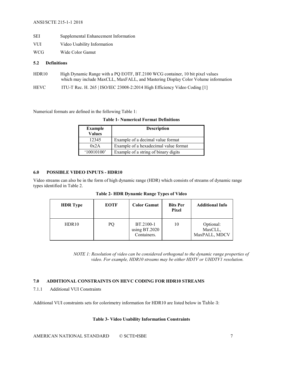- SEI Supplemental Enhancement Information
- VUI Video Usability Information
- WCG Wide Color Gamut

#### <span id="page-6-0"></span>**5.2 Definitions**

- HDR10 High Dynamic Range with a PQ EOTF, BT.2100 WCG container, 10 bit pixel values which may include MaxCLL, MaxFALL, and Mastering Display Color Volume information
- HEVC ITU-T Rec. H. 265 | ISO/IEC 23008-2:2014 High Efficiency Video Coding [\[1\]](#page-4-8)

<span id="page-6-4"></span>Numerical formats are defined in the following [Table 1:](#page-6-4)

|  |  |  | <b>Table 1- Numerical Format Definitions</b> |
|--|--|--|----------------------------------------------|
|--|--|--|----------------------------------------------|

| <b>Example</b><br><b>Values</b> | <b>Description</b>                    |  |
|---------------------------------|---------------------------------------|--|
| 12345                           | Example of a decimal value format     |  |
| 0x2A                            | Example of a hexadecimal value format |  |
| '10010100'                      | Example of a string of binary digits  |  |

#### <span id="page-6-1"></span>**6.0 POSSIBLE VIDEO INPUTS - HDR10**

<span id="page-6-5"></span>Video streams can also be in the form of high dynamic range (HDR) which consists of streams of dynamic range types identified i[n Table 2.](#page-6-5)

| <b>HDR</b> Type   | <b>EOTF</b> | <b>Color Gamut</b>                        | <b>Bits Per</b><br>Pixel | <b>Additional Info</b>                |
|-------------------|-------------|-------------------------------------------|--------------------------|---------------------------------------|
| HDR <sub>10</sub> | PQ          | BT.2100-1<br>using BT.2020<br>Containers. | 10                       | Optional:<br>MaxCLL,<br>MaxPALL, MDCV |

**Table 2- HDR Dynamic Range Types of Video**

*NOTE 1: Resolution of video can be considered orthogonal to the dynamic range properties of video. For example, HDR10 streams may be either HDTV or UHDTV1 resolution.*

#### <span id="page-6-2"></span>**7.0 ADDITIONAL CONSTRAINTS ON HEVC CODING FOR HDR10 STREAMS**

<span id="page-6-3"></span>7.1.1 Additional VUI Constraints

<span id="page-6-6"></span>Additional VUI constraints sets for colorimetry information for HDR10 are listed below in [Table 3](#page-6-6):

#### **Table 3- Video Usability Information Constraints**